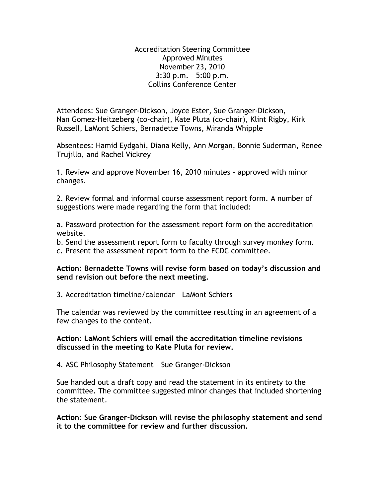Accreditation Steering Committee Approved Minutes November 23, 2010 3:30 p.m. – 5:00 p.m. Collins Conference Center

Attendees: Sue Granger-Dickson, Joyce Ester, Sue Granger-Dickson, Nan Gomez-Heitzeberg (co-chair), Kate Pluta (co-chair), Klint Rigby, Kirk Russell, LaMont Schiers, Bernadette Towns, Miranda Whipple

Absentees: Hamid Eydgahi, Diana Kelly, Ann Morgan, Bonnie Suderman, Renee Trujillo, and Rachel Vickrey

1. Review and approve November 16, 2010 minutes – approved with minor changes.

2. Review formal and informal course assessment report form. A number of suggestions were made regarding the form that included:

a. Password protection for the assessment report form on the accreditation website.

b. Send the assessment report form to faculty through survey monkey form. c. Present the assessment report form to the FCDC committee.

## **Action: Bernadette Towns will revise form based on today's discussion and send revision out before the next meeting.**

3. Accreditation timeline/calendar – LaMont Schiers

The calendar was reviewed by the committee resulting in an agreement of a few changes to the content.

## **Action: LaMont Schiers will email the accreditation timeline revisions discussed in the meeting to Kate Pluta for review.**

4. ASC Philosophy Statement – Sue Granger-Dickson

Sue handed out a draft copy and read the statement in its entirety to the committee. The committee suggested minor changes that included shortening the statement.

**Action: Sue Granger-Dickson will revise the philosophy statement and send it to the committee for review and further discussion.**